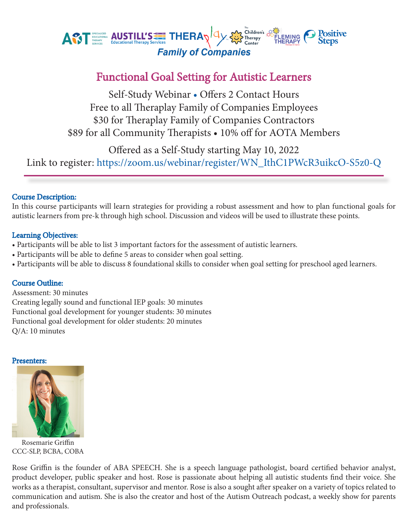

# Functional Goal Setting for Autistic Learners

Self-Study Webinar • Offers 2 Contact Hours Free to all Theraplay Family of Companies Employees \$30 for Theraplay Family of Companies Contractors \$89 for all Community Therapists • 10% off for AOTA Members

Offered as a Self-Study starting May 10, 2022

Link to register: https://zoom.us/webinar/register/WN\_IthC1PWcR3uikcO-S5z0-Q

# Course Description:

In this course participants will learn strategies for providing a robust assessment and how to plan functional goals for autistic learners from pre-k through high school. Discussion and videos will be used to illustrate these points.

### Learning Objectives:

- Participants will be able to list 3 important factors for the assessment of autistic learners.
- Participants will be able to define 5 areas to consider when goal setting.
- Participants will be able to discuss 8 foundational skills to consider when goal setting for preschool aged learners.

# Course Outline:

Assessment: 30 minutes Creating legally sound and functional IEP goals: 30 minutes Functional goal development for younger students: 30 minutes Functional goal development for older students: 20 minutes Q/A: 10 minutes

#### Presenters:



Rosemarie Griffin CCC-SLP, BCBA, COBA

Rose Griffin is the founder of ABA SPEECH. She is a speech language pathologist, board certified behavior analyst, product developer, public speaker and host. Rose is passionate about helping all autistic students find their voice. She works as a therapist, consultant, supervisor and mentor. Rose is also a sought after speaker on a variety of topics related to communication and autism. She is also the creator and host of the Autism Outreach podcast, a weekly show for parents and professionals.